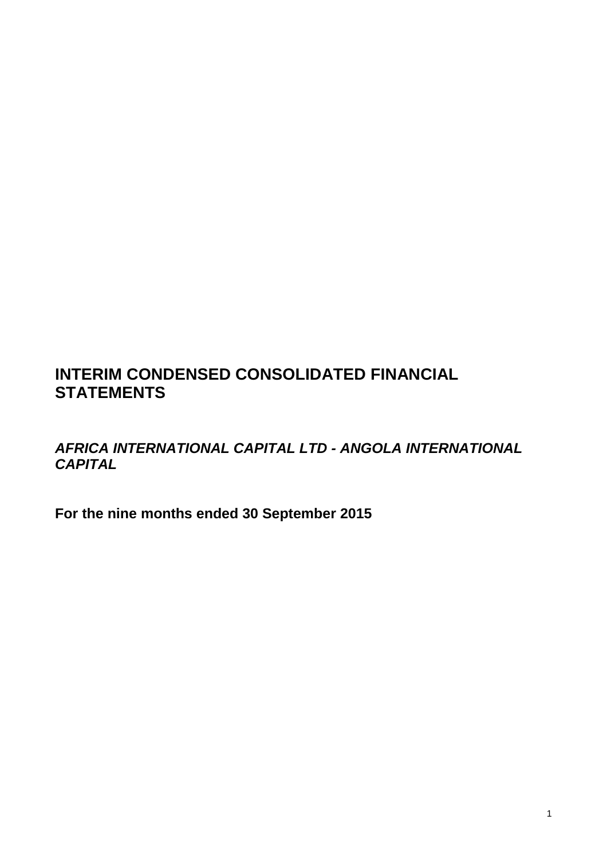# **INTERIM CONDENSED CONSOLIDATED FINANCIAL STATEMENTS**

*AFRICA INTERNATIONAL CAPITAL LTD - ANGOLA INTERNATIONAL CAPITAL* 

**For the nine months ended 30 September 2015**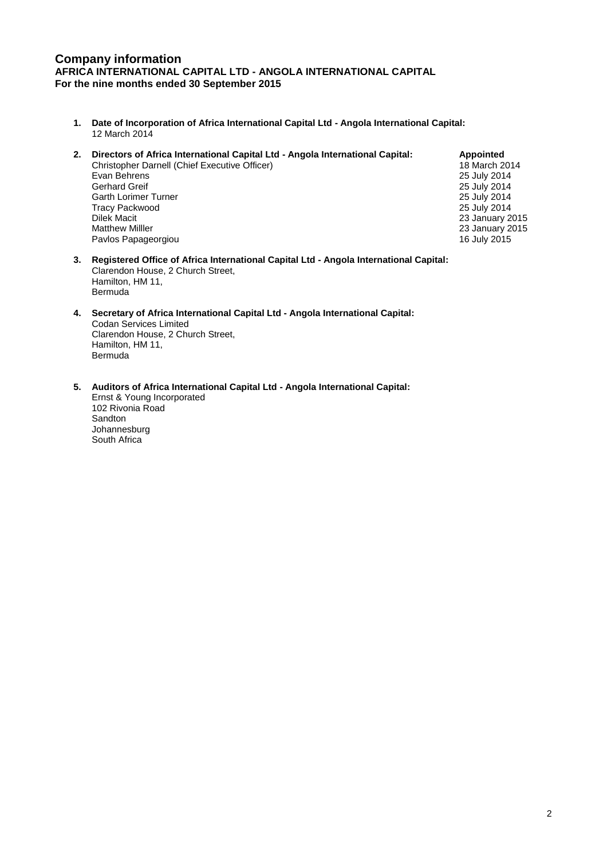# **Company information AFRICA INTERNATIONAL CAPITAL LTD - ANGOLA INTERNATIONAL CAPITAL For the nine months ended 30 September 2015**

- **1. Date of Incorporation of Africa International Capital Ltd - Angola International Capital:** 12 March 2014
- **2. Directors of Africa International Capital Ltd - Angola International Capital: Appointed** Christopher Darnell (Chief Executive Officer)<br>
Evan Behrens 18 July 2014 Evan Behrens 25 July 2014 Gerhard Greif 25 July 2014<br>
Garth Lorimer Turner Numer 25 July 2014<br>
25 July 2014 Garth Lorimer Turner **Contract Contract Contract Contract Contract Contract Contract Contract Contract Contract Contract Contract Contract Contract Contract Contract Contract Contract Contract Contract Contract Contract Co** Tracy Packwood<br>Dilek Macit Dilek Macit 23 January 2015 Pavlos Papageorgiou

23 January 2015<br>16 July 2015

- **3. Registered Office of Africa International Capital Ltd - Angola International Capital:** Clarendon House, 2 Church Street, Hamilton, HM 11, Bermuda
- **4. Secretary of Africa International Capital Ltd - Angola International Capital:** Codan Services Limited Clarendon House, 2 Church Street, Hamilton, HM 11, Bermuda
- **5. Auditors of Africa International Capital Ltd - Angola International Capital:**

Ernst & Young Incorporated 102 Rivonia Road Sandton Johannesburg South Africa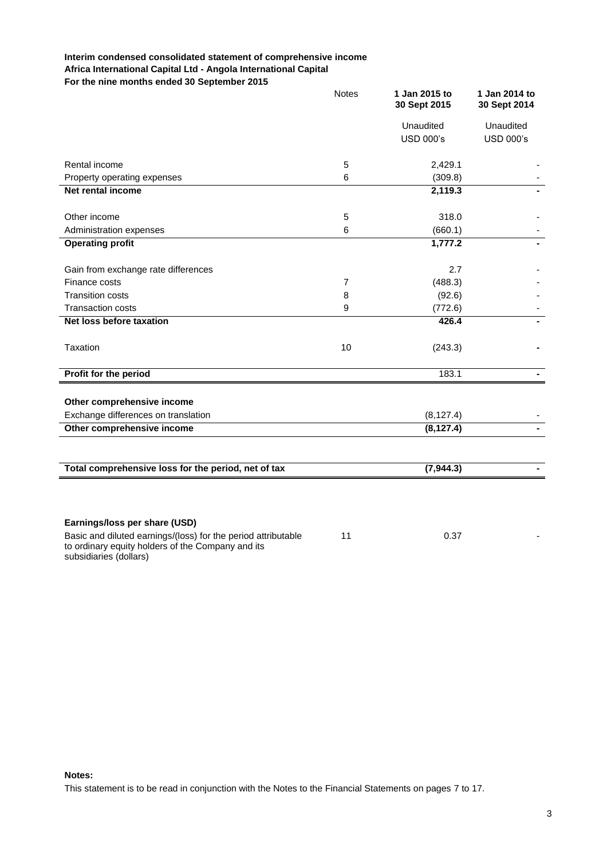# **Interim condensed consolidated statement of comprehensive income Africa International Capital Ltd - Angola International Capital For the nine months ended 30 September 2015**

|                                                                                                                    | <b>Notes</b>   | 1 Jan 2015 to<br>30 Sept 2015 | 1 Jan 2014 to<br>30 Sept 2014 |
|--------------------------------------------------------------------------------------------------------------------|----------------|-------------------------------|-------------------------------|
|                                                                                                                    |                | Unaudited                     | Unaudited                     |
|                                                                                                                    |                | <b>USD 000's</b>              | <b>USD 000's</b>              |
|                                                                                                                    |                |                               |                               |
| Rental income                                                                                                      | 5              | 2,429.1                       |                               |
| Property operating expenses                                                                                        | 6              | (309.8)                       |                               |
| <b>Net rental income</b>                                                                                           |                | 2,119.3                       |                               |
| Other income                                                                                                       | 5              | 318.0                         |                               |
| Administration expenses                                                                                            | 6              | (660.1)                       |                               |
| <b>Operating profit</b>                                                                                            |                | 1,777.2                       |                               |
| Gain from exchange rate differences                                                                                |                | 2.7                           |                               |
| Finance costs                                                                                                      | $\overline{7}$ | (488.3)                       |                               |
| <b>Transition costs</b>                                                                                            | 8              | (92.6)                        |                               |
| <b>Transaction costs</b>                                                                                           | 9              | (772.6)                       |                               |
| Net loss before taxation                                                                                           |                | 426.4                         |                               |
| Taxation                                                                                                           | 10             | (243.3)                       |                               |
| Profit for the period                                                                                              |                | 183.1                         | $\blacksquare$                |
|                                                                                                                    |                |                               |                               |
| Other comprehensive income                                                                                         |                |                               |                               |
| Exchange differences on translation                                                                                |                | (8, 127.4)                    |                               |
| Other comprehensive income                                                                                         |                | (8, 127.4)                    |                               |
|                                                                                                                    |                |                               |                               |
| Total comprehensive loss for the period, net of tax                                                                |                | (7, 944.3)                    |                               |
|                                                                                                                    |                |                               |                               |
|                                                                                                                    |                |                               |                               |
| Earnings/loss per share (USD)                                                                                      |                |                               |                               |
| Basic and diluted earnings/(loss) for the period attributable<br>to ordinary equity holders of the Company and its | 11             | 0.37                          |                               |

**Notes:**

subsidiaries (dollars)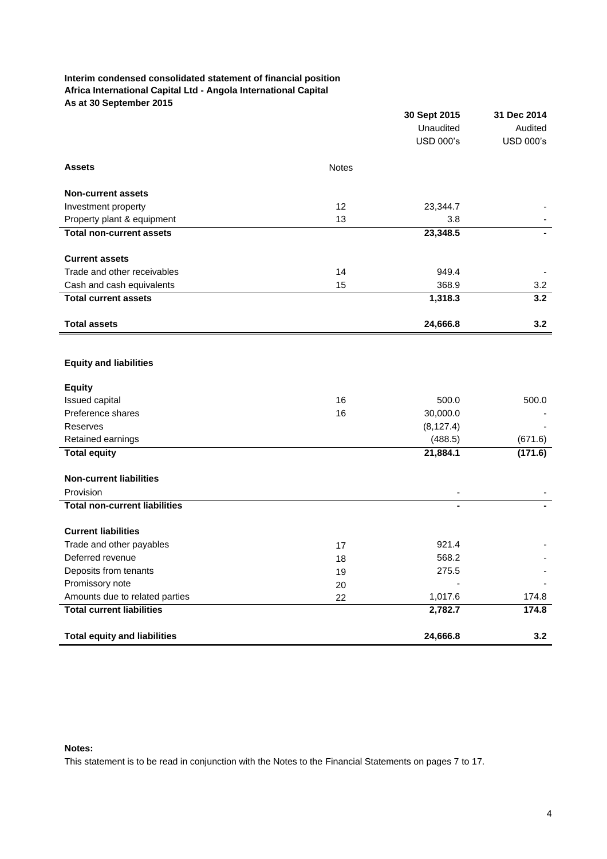# **Interim condensed consolidated statement of financial position Africa International Capital Ltd - Angola International Capital As at 30 September 2015**

|                                      |              | 30 Sept 2015     | 31 Dec 2014      |
|--------------------------------------|--------------|------------------|------------------|
|                                      |              | Unaudited        | Audited          |
|                                      |              | <b>USD 000's</b> | <b>USD 000's</b> |
| <b>Assets</b>                        | <b>Notes</b> |                  |                  |
| <b>Non-current assets</b>            |              |                  |                  |
| Investment property                  | 12           | 23,344.7         |                  |
| Property plant & equipment           | 13           | 3.8              |                  |
| <b>Total non-current assets</b>      |              | 23,348.5         |                  |
| <b>Current assets</b>                |              |                  |                  |
| Trade and other receivables          | 14           | 949.4            |                  |
| Cash and cash equivalents            | 15           | 368.9            | 3.2              |
| <b>Total current assets</b>          |              | 1,318.3          | 3.2              |
| <b>Total assets</b>                  |              | 24,666.8         | 3.2              |
|                                      |              |                  |                  |
| <b>Equity and liabilities</b>        |              |                  |                  |
| <b>Equity</b>                        |              |                  |                  |
| Issued capital                       | 16           | 500.0            | 500.0            |
| Preference shares                    | 16           | 30,000.0         |                  |
| Reserves                             |              | (8, 127.4)       |                  |
| Retained earnings                    |              | (488.5)          | (671.6)          |
| <b>Total equity</b>                  |              | 21,884.1         | (171.6)          |
| <b>Non-current liabilities</b>       |              |                  |                  |
| Provision                            |              |                  |                  |
| <b>Total non-current liabilities</b> |              |                  |                  |
| <b>Current liabilities</b>           |              |                  |                  |
| Trade and other payables             | 17           | 921.4            |                  |
| Deferred revenue                     | 18           | 568.2            |                  |
| Deposits from tenants                | 19           | 275.5            |                  |
| Promissory note                      | 20           |                  |                  |
| Amounts due to related parties       | 22           | 1,017.6          | 174.8            |
| <b>Total current liabilities</b>     |              | 2,782.7          | 174.8            |
| <b>Total equity and liabilities</b>  |              | 24,666.8         | 3.2              |

# **Notes:**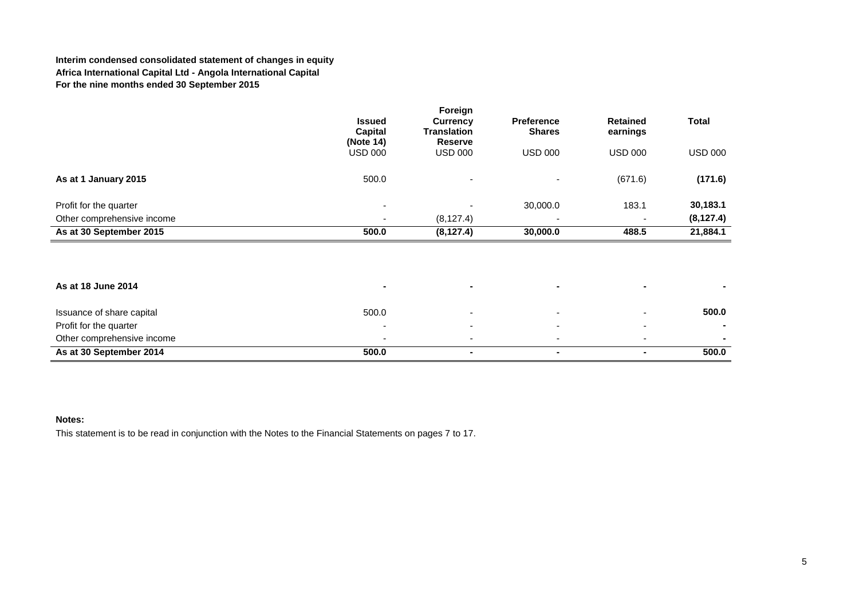# **Interim condensed consolidated statement of changes in equity Africa International Capital Ltd - Angola International Capital For the nine months ended 30 September 2015**

|                            |                                       | Foreign                                                 |                                    |                             |                |
|----------------------------|---------------------------------------|---------------------------------------------------------|------------------------------------|-----------------------------|----------------|
|                            | <b>Issued</b><br>Capital<br>(Note 14) | <b>Currency</b><br><b>Translation</b><br><b>Reserve</b> | <b>Preference</b><br><b>Shares</b> | <b>Retained</b><br>earnings | <b>Total</b>   |
|                            | <b>USD 000</b>                        | <b>USD 000</b>                                          | USD 000                            | <b>USD 000</b>              | <b>USD 000</b> |
| As at 1 January 2015       | 500.0                                 | ۰                                                       |                                    | (671.6)                     | (171.6)        |
| Profit for the quarter     | $\overline{\phantom{a}}$              |                                                         | 30,000.0                           | 183.1                       | 30,183.1       |
| Other comprehensive income | $\overline{\phantom{a}}$              | (8, 127.4)                                              | $\overline{\phantom{0}}$           |                             | (8, 127.4)     |
| As at 30 September 2015    | 500.0                                 | (8, 127.4)                                              | 30,000.0                           | 488.5                       | 21,884.1       |

| As at 18 June 2014         |       |        |  |       |
|----------------------------|-------|--------|--|-------|
| Issuance of share capital  | 500.0 | $\sim$ |  | 500.0 |
| Profit for the quarter     |       |        |  |       |
| Other comprehensive income |       |        |  |       |
| As at 30 September 2014    | 500.0 |        |  | 500.0 |

# **Notes:**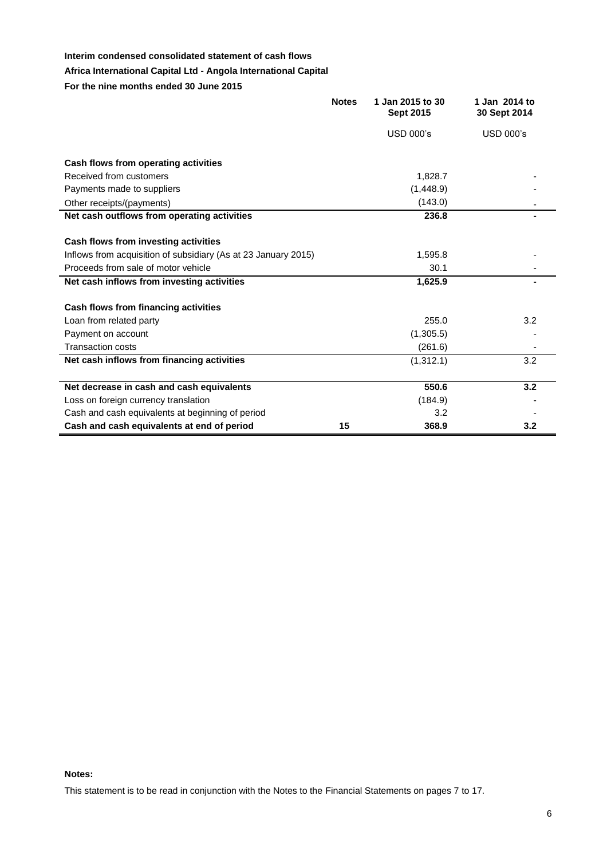# **Interim condensed consolidated statement of cash flows**

# **Africa International Capital Ltd - Angola International Capital**

**For the nine months ended 30 June 2015**

|                                                                | <b>Notes</b> | 1 Jan 2015 to 30<br><b>Sept 2015</b> | 1 Jan 2014 to<br>30 Sept 2014 |
|----------------------------------------------------------------|--------------|--------------------------------------|-------------------------------|
|                                                                |              | <b>USD 000's</b>                     | <b>USD 000's</b>              |
| Cash flows from operating activities                           |              |                                      |                               |
| Received from customers                                        |              | 1,828.7                              |                               |
| Payments made to suppliers                                     |              | (1,448.9)                            |                               |
| Other receipts/(payments)                                      |              | (143.0)                              |                               |
| Net cash outflows from operating activities                    |              | 236.8                                |                               |
|                                                                |              |                                      |                               |
| Cash flows from investing activities                           |              |                                      |                               |
| Inflows from acquisition of subsidiary (As at 23 January 2015) |              | 1,595.8                              |                               |
| Proceeds from sale of motor vehicle                            |              | 30.1                                 |                               |
| Net cash inflows from investing activities                     |              | 1,625.9                              |                               |
| Cash flows from financing activities                           |              |                                      |                               |
| Loan from related party                                        |              | 255.0                                | 3.2                           |
| Payment on account                                             |              | (1,305.5)                            |                               |
| <b>Transaction costs</b>                                       |              | (261.6)                              |                               |
| Net cash inflows from financing activities                     |              | (1,312.1)                            | 3.2                           |
|                                                                |              |                                      |                               |
| Net decrease in cash and cash equivalents                      |              | 550.6                                | 3.2                           |
| Loss on foreign currency translation                           |              | (184.9)                              |                               |
| Cash and cash equivalents at beginning of period               |              | 3.2                                  |                               |
| Cash and cash equivalents at end of period                     | 15           | 368.9                                | 3.2                           |

#### **Notes:**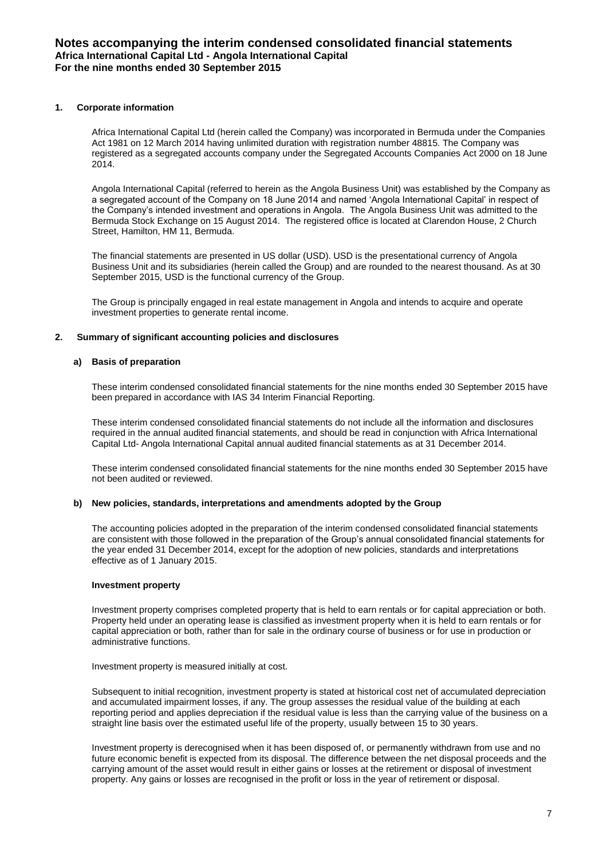## **1. Corporate information**

Africa International Capital Ltd (herein called the Company) was incorporated in Bermuda under the Companies Act 1981 on 12 March 2014 having unlimited duration with registration number 48815. The Company was registered as a segregated accounts company under the Segregated Accounts Companies Act 2000 on 18 June 2014.

Angola International Capital (referred to herein as the Angola Business Unit) was established by the Company as a segregated account of the Company on 18 June 2014 and named 'Angola International Capital' in respect of the Company's intended investment and operations in Angola. The Angola Business Unit was admitted to the Bermuda Stock Exchange on 15 August 2014. The registered office is located at Clarendon House, 2 Church Street, Hamilton, HM 11, Bermuda.

The financial statements are presented in US dollar (USD). USD is the presentational currency of Angola Business Unit and its subsidiaries (herein called the Group) and are rounded to the nearest thousand. As at 30 September 2015, USD is the functional currency of the Group.

The Group is principally engaged in real estate management in Angola and intends to acquire and operate investment properties to generate rental income.

## **2. Summary of significant accounting policies and disclosures**

# **a) Basis of preparation**

These interim condensed consolidated financial statements for the nine months ended 30 September 2015 have been prepared in accordance with IAS 34 Interim Financial Reporting.

These interim condensed consolidated financial statements do not include all the information and disclosures required in the annual audited financial statements, and should be read in conjunction with Africa International Capital Ltd- Angola International Capital annual audited financial statements as at 31 December 2014.

These interim condensed consolidated financial statements for the nine months ended 30 September 2015 have not been audited or reviewed.

#### **b) New policies, standards, interpretations and amendments adopted by the Group**

The accounting policies adopted in the preparation of the interim condensed consolidated financial statements are consistent with those followed in the preparation of the Group's annual consolidated financial statements for the year ended 31 December 2014, except for the adoption of new policies, standards and interpretations effective as of 1 January 2015.

## **Investment property**

Investment property comprises completed property that is held to earn rentals or for capital appreciation or both. Property held under an operating lease is classified as investment property when it is held to earn rentals or for capital appreciation or both, rather than for sale in the ordinary course of business or for use in production or administrative functions.

Investment property is measured initially at cost.

Subsequent to initial recognition, investment property is stated at historical cost net of accumulated depreciation and accumulated impairment losses, if any. The group assesses the residual value of the building at each reporting period and applies depreciation if the residual value is less than the carrying value of the business on a straight line basis over the estimated useful life of the property, usually between 15 to 30 years.

Investment property is derecognised when it has been disposed of, or permanently withdrawn from use and no future economic benefit is expected from its disposal. The difference between the net disposal proceeds and the carrying amount of the asset would result in either gains or losses at the retirement or disposal of investment property. Any gains or losses are recognised in the profit or loss in the year of retirement or disposal.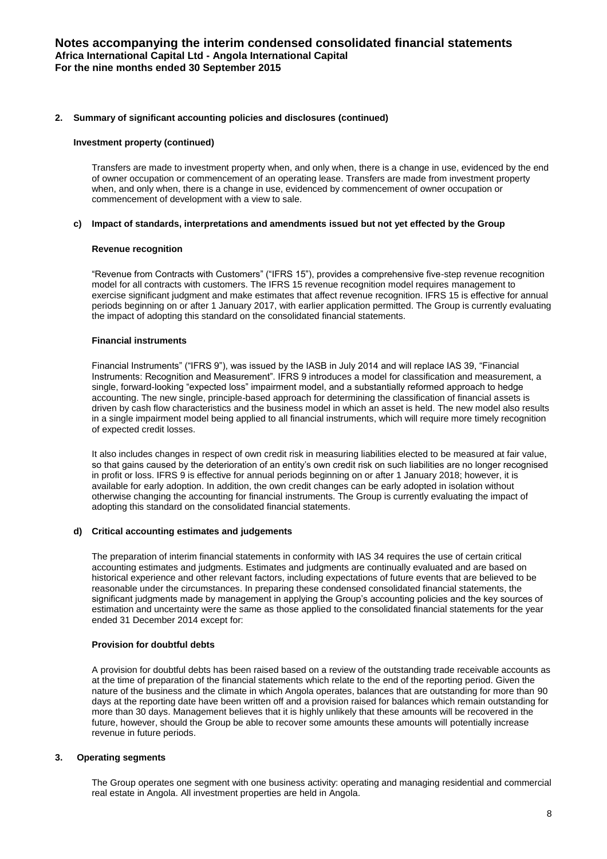## **2. Summary of significant accounting policies and disclosures (continued)**

#### **Investment property (continued)**

Transfers are made to investment property when, and only when, there is a change in use, evidenced by the end of owner occupation or commencement of an operating lease. Transfers are made from investment property when, and only when, there is a change in use, evidenced by commencement of owner occupation or commencement of development with a view to sale.

#### **c) Impact of standards, interpretations and amendments issued but not yet effected by the Group**

## **Revenue recognition**

"Revenue from Contracts with Customers" ("IFRS 15"), provides a comprehensive five-step revenue recognition model for all contracts with customers. The IFRS 15 revenue recognition model requires management to exercise significant judgment and make estimates that affect revenue recognition. IFRS 15 is effective for annual periods beginning on or after 1 January 2017, with earlier application permitted. The Group is currently evaluating the impact of adopting this standard on the consolidated financial statements.

## **Financial instruments**

Financial Instruments" ("IFRS 9"), was issued by the IASB in July 2014 and will replace IAS 39, "Financial Instruments: Recognition and Measurement". IFRS 9 introduces a model for classification and measurement, a single, forward-looking "expected loss" impairment model, and a substantially reformed approach to hedge accounting. The new single, principle-based approach for determining the classification of financial assets is driven by cash flow characteristics and the business model in which an asset is held. The new model also results in a single impairment model being applied to all financial instruments, which will require more timely recognition of expected credit losses.

It also includes changes in respect of own credit risk in measuring liabilities elected to be measured at fair value, so that gains caused by the deterioration of an entity's own credit risk on such liabilities are no longer recognised in profit or loss. IFRS 9 is effective for annual periods beginning on or after 1 January 2018; however, it is available for early adoption. In addition, the own credit changes can be early adopted in isolation without otherwise changing the accounting for financial instruments. The Group is currently evaluating the impact of adopting this standard on the consolidated financial statements.

#### **d) Critical accounting estimates and judgements**

The preparation of interim financial statements in conformity with IAS 34 requires the use of certain critical accounting estimates and judgments. Estimates and judgments are continually evaluated and are based on historical experience and other relevant factors, including expectations of future events that are believed to be reasonable under the circumstances. In preparing these condensed consolidated financial statements, the significant judgments made by management in applying the Group's accounting policies and the key sources of estimation and uncertainty were the same as those applied to the consolidated financial statements for the year ended 31 December 2014 except for:

#### **Provision for doubtful debts**

A provision for doubtful debts has been raised based on a review of the outstanding trade receivable accounts as at the time of preparation of the financial statements which relate to the end of the reporting period. Given the nature of the business and the climate in which Angola operates, balances that are outstanding for more than 90 days at the reporting date have been written off and a provision raised for balances which remain outstanding for more than 30 days. Management believes that it is highly unlikely that these amounts will be recovered in the future, however, should the Group be able to recover some amounts these amounts will potentially increase revenue in future periods.

# **3. Operating segments**

The Group operates one segment with one business activity: operating and managing residential and commercial real estate in Angola. All investment properties are held in Angola.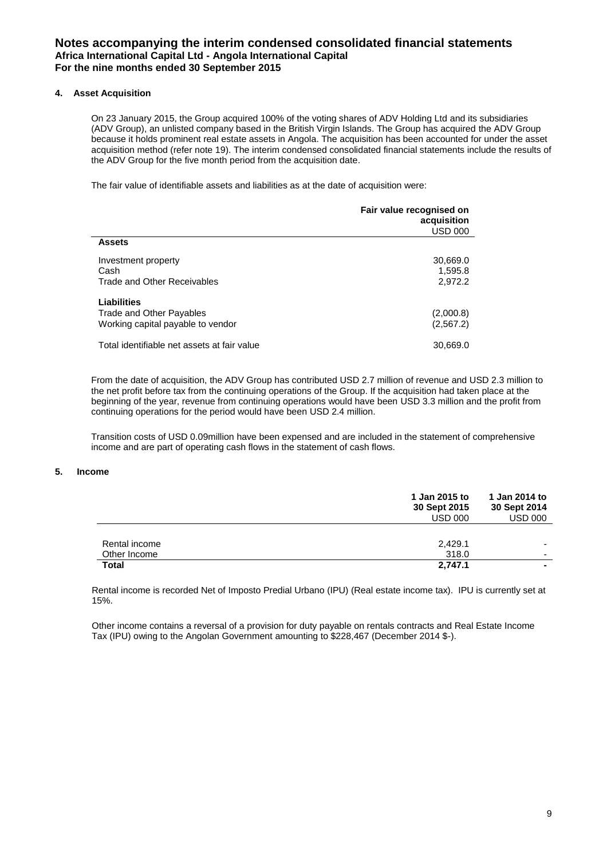# **4. Asset Acquisition**

On 23 January 2015, the Group acquired 100% of the voting shares of ADV Holding Ltd and its subsidiaries (ADV Group), an unlisted company based in the British Virgin Islands. The Group has acquired the ADV Group because it holds prominent real estate assets in Angola. The acquisition has been accounted for under the asset acquisition method (refer note 19). The interim condensed consolidated financial statements include the results of the ADV Group for the five month period from the acquisition date.

The fair value of identifiable assets and liabilities as at the date of acquisition were:

|                                                                              | Fair value recognised on<br>acquisition<br><b>USD 000</b> |
|------------------------------------------------------------------------------|-----------------------------------------------------------|
| <b>Assets</b>                                                                |                                                           |
| Investment property<br>Cash<br>Trade and Other Receivables                   | 30,669.0<br>1,595.8<br>2,972.2                            |
| Liabilities<br>Trade and Other Payables<br>Working capital payable to vendor | (2,000.8)<br>(2, 567.2)                                   |
| Total identifiable net assets at fair value                                  | 30,669.0                                                  |

From the date of acquisition, the ADV Group has contributed USD 2.7 million of revenue and USD 2.3 million to the net profit before tax from the continuing operations of the Group. If the acquisition had taken place at the beginning of the year, revenue from continuing operations would have been USD 3.3 million and the profit from continuing operations for the period would have been USD 2.4 million.

Transition costs of USD 0.09million have been expensed and are included in the statement of comprehensive income and are part of operating cash flows in the statement of cash flows.

#### **5. Income**

|               | 1 Jan 2015 to<br>30 Sept 2015<br><b>USD 000</b> | 1 Jan 2014 to<br>30 Sept 2014<br><b>USD 000</b> |
|---------------|-------------------------------------------------|-------------------------------------------------|
| Rental income | 2,429.1                                         | $\overline{\phantom{0}}$                        |
| Other Income  | 318.0                                           | $\overline{\phantom{0}}$                        |
| Total         | 2.747.1                                         |                                                 |

Rental income is recorded Net of Imposto Predial Urbano (IPU) (Real estate income tax). IPU is currently set at 15%.

Other income contains a reversal of a provision for duty payable on rentals contracts and Real Estate Income Tax (IPU) owing to the Angolan Government amounting to \$228,467 (December 2014 \$-).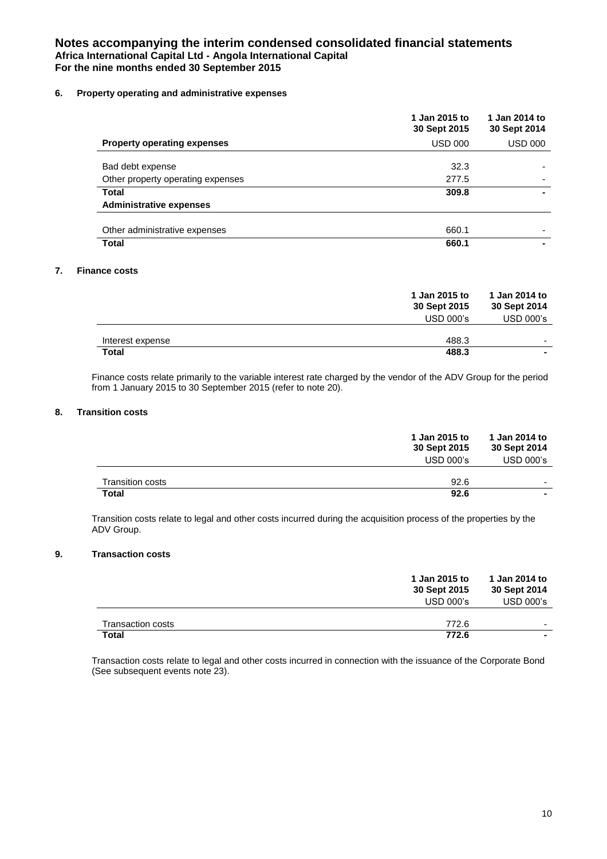# **6. Property operating and administrative expenses**

|                                    | 1 Jan 2015 to<br>30 Sept 2015 | 1 Jan 2014 to<br>30 Sept 2014 |
|------------------------------------|-------------------------------|-------------------------------|
| <b>Property operating expenses</b> | <b>USD 000</b>                | <b>USD 000</b>                |
| Bad debt expense                   | 32.3                          |                               |
| Other property operating expenses  | 277.5                         |                               |
| <b>Total</b>                       | 309.8                         |                               |
| <b>Administrative expenses</b>     |                               |                               |
| Other administrative expenses      | 660.1                         |                               |
| <b>Total</b>                       | 660.1                         |                               |

## **7. Finance costs**

|                  | 1 Jan 2015 to<br>30 Sept 2015<br><b>USD 000's</b> | 1 Jan 2014 to<br>30 Sept 2014<br><b>USD 000's</b> |
|------------------|---------------------------------------------------|---------------------------------------------------|
| Interest expense | 488.3                                             | -                                                 |
| <b>Total</b>     | 488.3                                             |                                                   |

Finance costs relate primarily to the variable interest rate charged by the vendor of the ADV Group for the period from 1 January 2015 to 30 September 2015 (refer to note 20).

# **8. Transition costs**

|                  | 1 Jan 2015 to<br>30 Sept 2015<br><b>USD 000's</b> | 1 Jan 2014 to<br>30 Sept 2014<br>USD 000's |
|------------------|---------------------------------------------------|--------------------------------------------|
| Transition costs | 92.6                                              |                                            |
| <b>Total</b>     | 92.6                                              | $\sim$                                     |

Transition costs relate to legal and other costs incurred during the acquisition process of the properties by the ADV Group.

# **9. Transaction costs**

|                          | 1 Jan 2015 to<br>30 Sept 2015<br><b>USD 000's</b> | 1 Jan 2014 to<br>30 Sept 2014<br><b>USD 000's</b> |
|--------------------------|---------------------------------------------------|---------------------------------------------------|
| <b>Transaction costs</b> | 772.6                                             | -                                                 |
| <b>Total</b>             | 772.6                                             |                                                   |

Transaction costs relate to legal and other costs incurred in connection with the issuance of the Corporate Bond (See subsequent events note 23).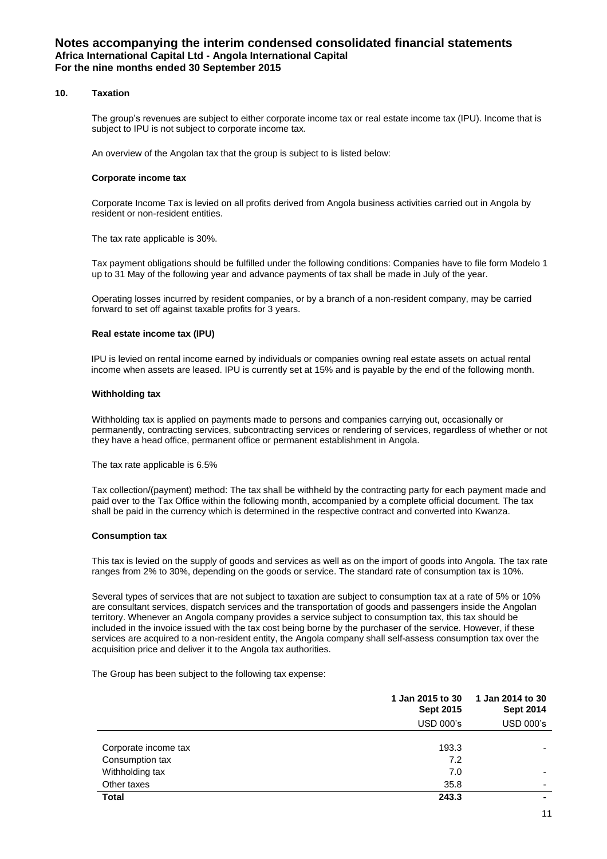## **10. Taxation**

The group's revenues are subject to either corporate income tax or real estate income tax (IPU). Income that is subject to IPU is not subject to corporate income tax.

An overview of the Angolan tax that the group is subject to is listed below:

#### **Corporate income tax**

Corporate Income Tax is levied on all profits derived from Angola business activities carried out in Angola by resident or non-resident entities.

The tax rate applicable is 30%.

Tax payment obligations should be fulfilled under the following conditions: Companies have to file form Modelo 1 up to 31 May of the following year and advance payments of tax shall be made in July of the year.

Operating losses incurred by resident companies, or by a branch of a non-resident company, may be carried forward to set off against taxable profits for 3 years.

#### **Real estate income tax (IPU)**

IPU is levied on rental income earned by individuals or companies owning real estate assets on actual rental income when assets are leased. IPU is currently set at 15% and is payable by the end of the following month.

#### **Withholding tax**

Withholding tax is applied on payments made to persons and companies carrying out, occasionally or permanently, contracting services, subcontracting services or rendering of services, regardless of whether or not they have a head office, permanent office or permanent establishment in Angola.

The tax rate applicable is 6.5%

Tax collection/(payment) method: The tax shall be withheld by the contracting party for each payment made and paid over to the Tax Office within the following month, accompanied by a complete official document. The tax shall be paid in the currency which is determined in the respective contract and converted into Kwanza.

#### **Consumption tax**

This tax is levied on the supply of goods and services as well as on the import of goods into Angola. The tax rate ranges from 2% to 30%, depending on the goods or service. The standard rate of consumption tax is 10%.

Several types of services that are not subject to taxation are subject to consumption tax at a rate of 5% or 10% are consultant services, dispatch services and the transportation of goods and passengers inside the Angolan territory. Whenever an Angola company provides a service subject to consumption tax, this tax should be included in the invoice issued with the tax cost being borne by the purchaser of the service. However, if these services are acquired to a non-resident entity, the Angola company shall self-assess consumption tax over the acquisition price and deliver it to the Angola tax authorities.

The Group has been subject to the following tax expense:

|                      | 1 Jan 2015 to 30<br><b>Sept 2015</b> |                  | 1 Jan 2014 to 30<br><b>Sept 2014</b> |
|----------------------|--------------------------------------|------------------|--------------------------------------|
|                      | <b>USD 000's</b>                     | <b>USD 000's</b> |                                      |
|                      |                                      |                  |                                      |
| Corporate income tax | 193.3                                |                  |                                      |
| Consumption tax      | 7.2                                  |                  |                                      |
| Withholding tax      | 7.0                                  |                  |                                      |
| Other taxes          | 35.8                                 |                  |                                      |
| <b>Total</b>         | 243.3                                |                  |                                      |
|                      |                                      |                  |                                      |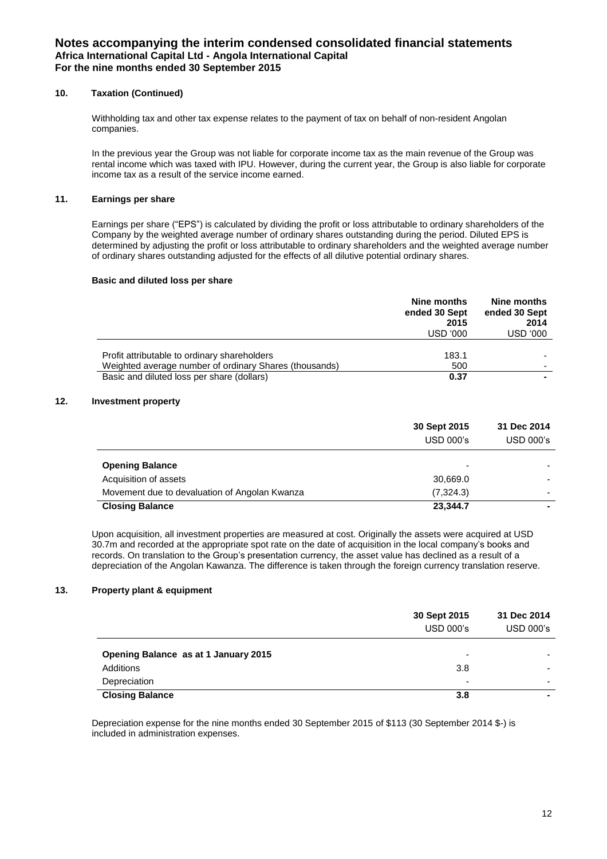# **10. Taxation (Continued)**

Withholding tax and other tax expense relates to the payment of tax on behalf of non-resident Angolan companies.

In the previous year the Group was not liable for corporate income tax as the main revenue of the Group was rental income which was taxed with IPU. However, during the current year, the Group is also liable for corporate income tax as a result of the service income earned.

# **11. Earnings per share**

Earnings per share ("EPS") is calculated by dividing the profit or loss attributable to ordinary shareholders of the Company by the weighted average number of ordinary shares outstanding during the period. Diluted EPS is determined by adjusting the profit or loss attributable to ordinary shareholders and the weighted average number of ordinary shares outstanding adjusted for the effects of all dilutive potential ordinary shares.

#### **Basic and diluted loss per share**

|                                                                                                        | Nine months<br>ended 30 Sept<br>2015<br>USD '000 | Nine months<br>ended 30 Sept<br>2014<br>USD '000 |
|--------------------------------------------------------------------------------------------------------|--------------------------------------------------|--------------------------------------------------|
| Profit attributable to ordinary shareholders<br>Weighted average number of ordinary Shares (thousands) | 183.1<br>500                                     | $\overline{\phantom{0}}$                         |
| Basic and diluted loss per share (dollars)                                                             | 0.37                                             |                                                  |

# **12. Investment property**

|                                               | 30 Sept 2015<br>$USD$ 000's | 31 Dec 2014<br>$USD$ 000 $'s$ |
|-----------------------------------------------|-----------------------------|-------------------------------|
| <b>Opening Balance</b>                        | ٠                           |                               |
| Acquisition of assets                         | 30,669.0                    |                               |
| Movement due to devaluation of Angolan Kwanza | (7,324.3)                   |                               |
| <b>Closing Balance</b>                        | 23,344.7                    |                               |

Upon acquisition, all investment properties are measured at cost. Originally the assets were acquired at USD 30.7m and recorded at the appropriate spot rate on the date of acquisition in the local company's books and records. On translation to the Group's presentation currency, the asset value has declined as a result of a depreciation of the Angolan Kawanza. The difference is taken through the foreign currency translation reserve.

# **13. Property plant & equipment**

|                                      | 30 Sept 2015<br><b>USD 000's</b> | 31 Dec 2014<br><b>USD 000's</b> |
|--------------------------------------|----------------------------------|---------------------------------|
| Opening Balance as at 1 January 2015 | $\overline{\phantom{a}}$         |                                 |
| Additions                            | 3.8                              |                                 |
| Depreciation                         | $\overline{\phantom{a}}$         |                                 |
| <b>Closing Balance</b>               | 3.8                              |                                 |

Depreciation expense for the nine months ended 30 September 2015 of \$113 (30 September 2014 \$-) is included in administration expenses.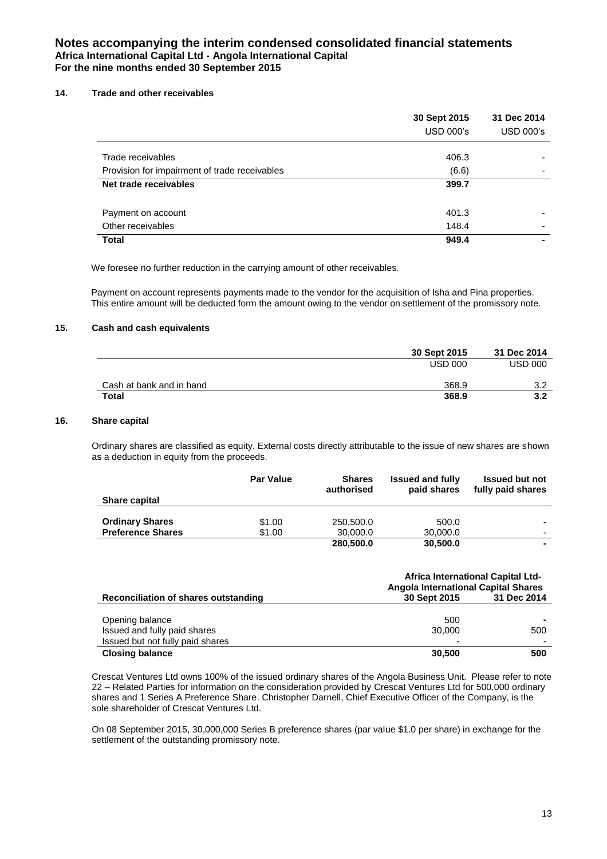## **14. Trade and other receivables**

|                                               | 30 Sept 2015<br><b>USD 000's</b> | 31 Dec 2014<br><b>USD 000's</b> |
|-----------------------------------------------|----------------------------------|---------------------------------|
| Trade receivables                             | 406.3                            |                                 |
| Provision for impairment of trade receivables | (6.6)                            | -                               |
| Net trade receivables                         | 399.7                            |                                 |
|                                               |                                  |                                 |
| Payment on account                            | 401.3                            |                                 |
| Other receivables                             | 148.4                            |                                 |
| <b>Total</b>                                  | 949.4                            |                                 |

We foresee no further reduction in the carrying amount of other receivables.

Payment on account represents payments made to the vendor for the acquisition of Isha and Pina properties. This entire amount will be deducted form the amount owing to the vendor on settlement of the promissory note.

# **15. Cash and cash equivalents**

|                          | 30 Sept 2015   | 31 Dec 2014    |
|--------------------------|----------------|----------------|
|                          | <b>USD 000</b> | <b>USD 000</b> |
| Cash at bank and in hand | 368.9          | 3.2            |
| Total                    | 368.9          | 3.2            |

# **16. Share capital**

Ordinary shares are classified as equity. External costs directly attributable to the issue of new shares are shown as a deduction in equity from the proceeds.

| <b>Share capital</b>     | <b>Par Value</b> | <b>Shares</b><br>authorised | <b>Issued and fully</b><br>paid shares | <b>Issued but not</b><br>fully paid shares |
|--------------------------|------------------|-----------------------------|----------------------------------------|--------------------------------------------|
| <b>Ordinary Shares</b>   | \$1.00           | 250,500.0                   | 500.0                                  |                                            |
| <b>Preference Shares</b> | \$1.00           | 30,000.0<br>280,500.0       | 30,000.0<br>30,500.0                   | $\blacksquare$                             |

|                                      | <b>Africa International Capital Ltd-</b><br><b>Angola International Capital Shares</b> |             |
|--------------------------------------|----------------------------------------------------------------------------------------|-------------|
| Reconciliation of shares outstanding | 30 Sept 2015                                                                           | 31 Dec 2014 |
|                                      |                                                                                        |             |
| Opening balance                      | 500                                                                                    |             |
| Issued and fully paid shares         | 30,000                                                                                 | 500         |
| Issued but not fully paid shares     |                                                                                        |             |
| <b>Closing balance</b>               | 30,500                                                                                 | 500         |

Crescat Ventures Ltd owns 100% of the issued ordinary shares of the Angola Business Unit. Please refer to note 22 – Related Parties for information on the consideration provided by Crescat Ventures Ltd for 500,000 ordinary shares and 1 Series A Preference Share. Christopher Darnell, Chief Executive Officer of the Company, is the sole shareholder of Crescat Ventures Ltd.

On 08 September 2015, 30,000,000 Series B preference shares (par value \$1.0 per share) in exchange for the settlement of the outstanding promissory note.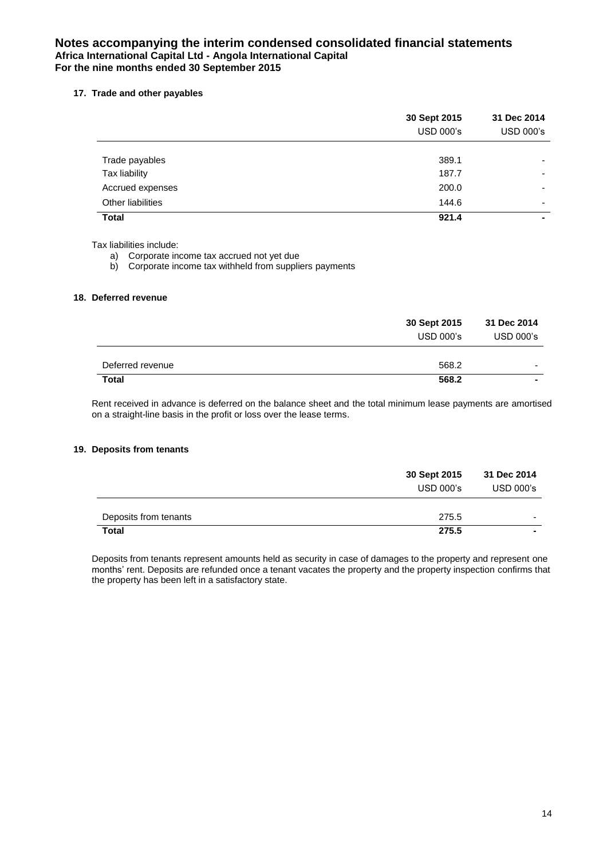# **17. Trade and other payables**

|                   | 30 Sept 2015<br><b>USD 000's</b> | 31 Dec 2014<br><b>USD 000's</b> |
|-------------------|----------------------------------|---------------------------------|
|                   |                                  |                                 |
| Trade payables    | 389.1                            | $\overline{\phantom{0}}$        |
| Tax liability     | 187.7                            | $\overline{\phantom{0}}$        |
| Accrued expenses  | 200.0                            | $\overline{\phantom{0}}$        |
| Other liabilities | 144.6                            | $\overline{\phantom{0}}$        |
| <b>Total</b>      | 921.4                            |                                 |

Tax liabilities include:

a) Corporate income tax accrued not yet due

b) Corporate income tax withheld from suppliers payments

# **18. Deferred revenue**

|                  | 30 Sept 2015 | 31 Dec 2014              |
|------------------|--------------|--------------------------|
|                  | USD 000's    | <b>USD 000's</b>         |
|                  |              |                          |
| Deferred revenue | 568.2        | $\overline{\phantom{0}}$ |
| <b>Total</b>     | 568.2        | $\blacksquare$           |

Rent received in advance is deferred on the balance sheet and the total minimum lease payments are amortised on a straight-line basis in the profit or loss over the lease terms.

#### **19. Deposits from tenants**

|                       | 30 Sept 2015     | 31 Dec 2014    |
|-----------------------|------------------|----------------|
|                       | <b>USD 000's</b> | USD 000's      |
|                       |                  |                |
| Deposits from tenants | 275.5            | -              |
| Total                 | 275.5            | $\blacksquare$ |

Deposits from tenants represent amounts held as security in case of damages to the property and represent one months' rent. Deposits are refunded once a tenant vacates the property and the property inspection confirms that the property has been left in a satisfactory state.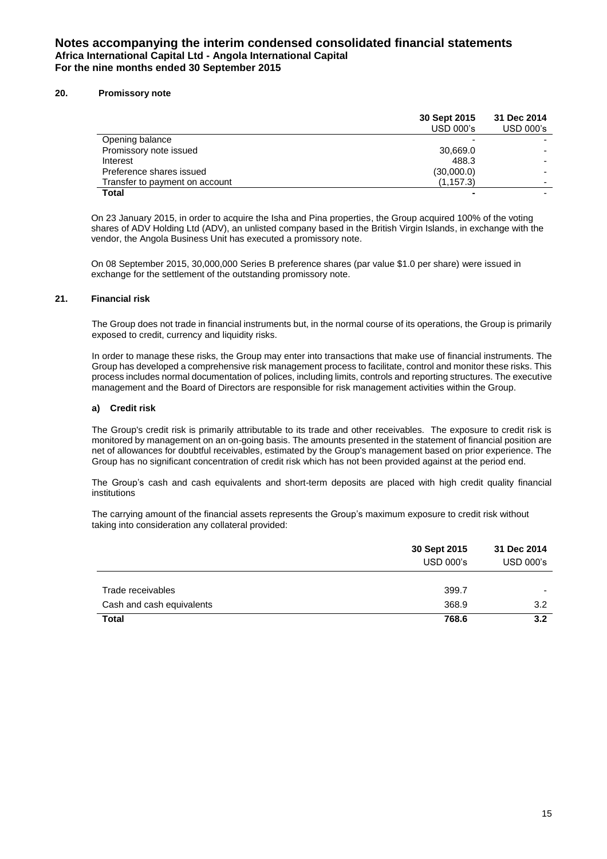#### **20. Promissory note**

|                                | 30 Sept 2015<br><b>USD 000's</b> | 31 Dec 2014<br><b>USD 000's</b> |
|--------------------------------|----------------------------------|---------------------------------|
| Opening balance                |                                  |                                 |
| Promissory note issued         | 30,669.0                         |                                 |
| Interest                       | 488.3                            |                                 |
| Preference shares issued       | (30,000.0)                       |                                 |
| Transfer to payment on account | (1, 157.3)                       |                                 |
| <b>Total</b>                   |                                  |                                 |

On 23 January 2015, in order to acquire the Isha and Pina properties, the Group acquired 100% of the voting shares of ADV Holding Ltd (ADV), an unlisted company based in the British Virgin Islands, in exchange with the vendor, the Angola Business Unit has executed a promissory note.

On 08 September 2015, 30,000,000 Series B preference shares (par value \$1.0 per share) were issued in exchange for the settlement of the outstanding promissory note.

#### **21. Financial risk**

The Group does not trade in financial instruments but, in the normal course of its operations, the Group is primarily exposed to credit, currency and liquidity risks.

In order to manage these risks, the Group may enter into transactions that make use of financial instruments. The Group has developed a comprehensive risk management process to facilitate, control and monitor these risks. This process includes normal documentation of polices, including limits, controls and reporting structures. The executive management and the Board of Directors are responsible for risk management activities within the Group.

#### **a) Credit risk**

The Group's credit risk is primarily attributable to its trade and other receivables. The exposure to credit risk is monitored by management on an on-going basis. The amounts presented in the statement of financial position are net of allowances for doubtful receivables, estimated by the Group's management based on prior experience. The Group has no significant concentration of credit risk which has not been provided against at the period end.

The Group's cash and cash equivalents and short-term deposits are placed with high credit quality financial institutions

The carrying amount of the financial assets represents the Group's maximum exposure to credit risk without taking into consideration any collateral provided:

|                           | 30 Sept 2015<br><b>USD 000's</b> | 31 Dec 2014<br><b>USD 000's</b> |
|---------------------------|----------------------------------|---------------------------------|
| Trade receivables         | 399.7                            |                                 |
| Cash and cash equivalents | 368.9                            | 3.2                             |
| <b>Total</b>              | 768.6                            | 3.2                             |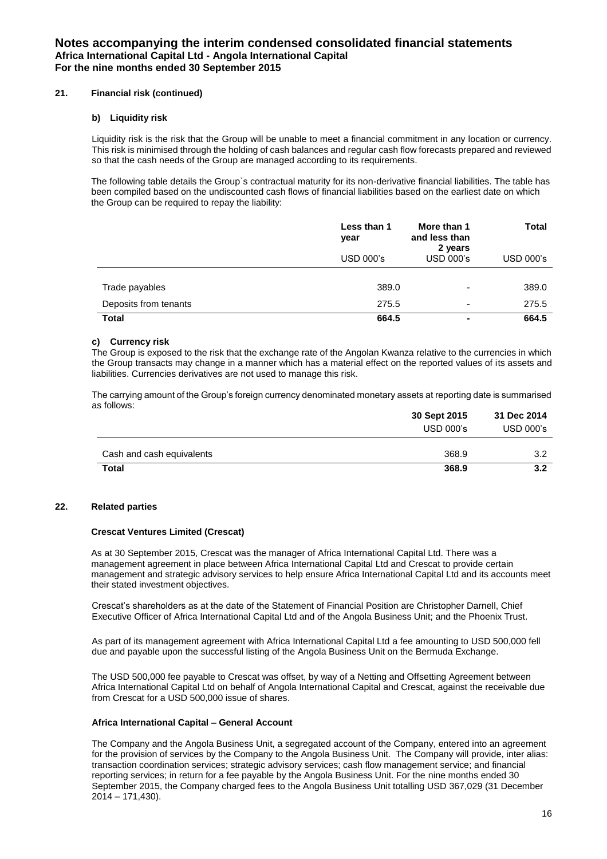## **21. Financial risk (continued)**

#### **b) Liquidity risk**

Liquidity risk is the risk that the Group will be unable to meet a financial commitment in any location or currency. This risk is minimised through the holding of cash balances and regular cash flow forecasts prepared and reviewed so that the cash needs of the Group are managed according to its requirements.

The following table details the Group`s contractual maturity for its non-derivative financial liabilities. The table has been compiled based on the undiscounted cash flows of financial liabilities based on the earliest date on which the Group can be required to repay the liability:

|                       | Less than 1<br>year | More than 1<br>and less than<br>2 years | <b>Total</b>     |
|-----------------------|---------------------|-----------------------------------------|------------------|
|                       | <b>USD 000's</b>    | <b>USD 000's</b>                        | <b>USD 000's</b> |
|                       |                     |                                         |                  |
| Trade payables        | 389.0               | $\overline{\phantom{0}}$                | 389.0            |
| Deposits from tenants | 275.5               | $\overline{\phantom{0}}$                | 275.5            |
| <b>Total</b>          | 664.5               | $\blacksquare$                          | 664.5            |

## **c) Currency risk**

The Group is exposed to the risk that the exchange rate of the Angolan Kwanza relative to the currencies in which the Group transacts may change in a manner which has a material effect on the reported values of its assets and liabilities. Currencies derivatives are not used to manage this risk.

The carrying amount of the Group's foreign currency denominated monetary assets at reporting date is summarised as follows:

|                           | 30 Sept 2015 | 31 Dec 2014      |  |
|---------------------------|--------------|------------------|--|
|                           | $USD 000$ 's | <b>USD 000's</b> |  |
| Cash and cash equivalents | 368.9        | 3.2              |  |
|                           |              |                  |  |
| <b>Total</b>              | 368.9        | 3.2              |  |

## **22. Related parties**

#### **Crescat Ventures Limited (Crescat)**

As at 30 September 2015, Crescat was the manager of Africa International Capital Ltd. There was a management agreement in place between Africa International Capital Ltd and Crescat to provide certain management and strategic advisory services to help ensure Africa International Capital Ltd and its accounts meet their stated investment objectives.

Crescat's shareholders as at the date of the Statement of Financial Position are Christopher Darnell, Chief Executive Officer of Africa International Capital Ltd and of the Angola Business Unit; and the Phoenix Trust.

As part of its management agreement with Africa International Capital Ltd a fee amounting to USD 500,000 fell due and payable upon the successful listing of the Angola Business Unit on the Bermuda Exchange.

The USD 500,000 fee payable to Crescat was offset, by way of a Netting and Offsetting Agreement between Africa International Capital Ltd on behalf of Angola International Capital and Crescat, against the receivable due from Crescat for a USD 500,000 issue of shares.

#### **Africa International Capital – General Account**

The Company and the Angola Business Unit, a segregated account of the Company, entered into an agreement for the provision of services by the Company to the Angola Business Unit. The Company will provide, inter alias: transaction coordination services; strategic advisory services; cash flow management service; and financial reporting services; in return for a fee payable by the Angola Business Unit. For the nine months ended 30 September 2015, the Company charged fees to the Angola Business Unit totalling USD 367,029 (31 December 2014 – 171,430).